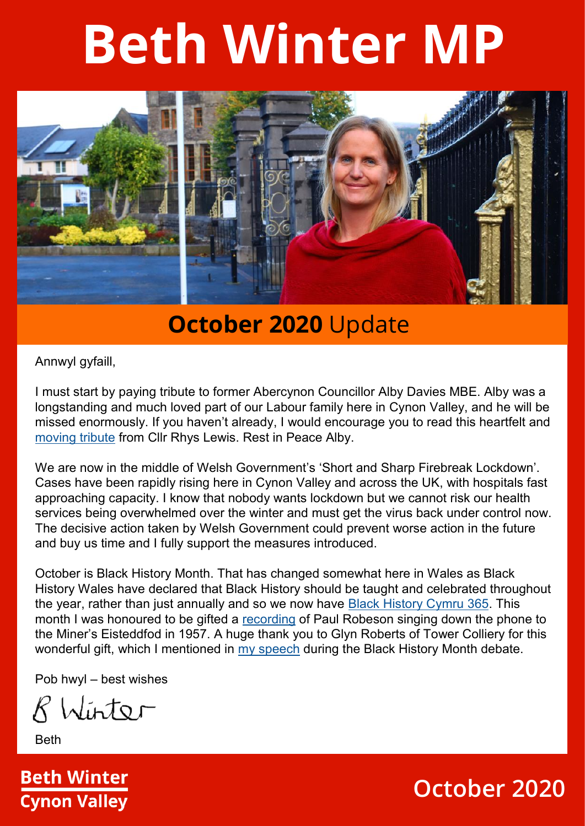# **Beth Winter MP**



#### **October 2020** Update

Annwyl gyfaill,

I must start by paying tribute to former Abercynon Councillor Alby Davies MBE. Alby was a longstanding and much loved part of our Labour family here in Cynon Valley, and he will be missed enormously. If you haven't already, I would encourage you to read this heartfelt and [moving tribute](https://elaineandrhys4abercynonward.wordpress.com/2020/10/04/remembering-alby-davies-mbe/) from Cllr Rhys Lewis. Rest in Peace Alby.

We are now in the middle of Welsh Government's 'Short and Sharp Firebreak Lockdown'. Cases have been rapidly rising here in Cynon Valley and across the UK, with hospitals fast approaching capacity. I know that nobody wants lockdown but we cannot risk our health services being overwhelmed over the winter and must get the virus back under control now. The decisive action taken by Welsh Government could prevent worse action in the future and buy us time and I fully support the measures introduced.

October is Black History Month. That has changed somewhat here in Wales as Black History Wales have declared that Black History should be taught and celebrated throughout the year, rather than just annually and so we now have [Black History Cymru 365.](https://bhmwales.org.uk/black-history-cymru-365-bhc365/) This month I was honoured to be gifted a [recording](https://www.facebook.com/BethWinterMP/posts/352023536212366) of Paul Robeson singing down the phone to the Miner's Eisteddfod in 1957. A huge thank you to Glyn Roberts of Tower Colliery for this wonderful gift, which I mentioned in [my speech](https://parliamentlive.tv/event/index/6d7a2177-2518-4174-a0ba-c311a6fa9488?in=15%3A25%3A10&out=15%3A30%3A00) during the Black History Month debate.

Pob hwyl – best wishes

R Winter

**Beth** 



#### **October 2020**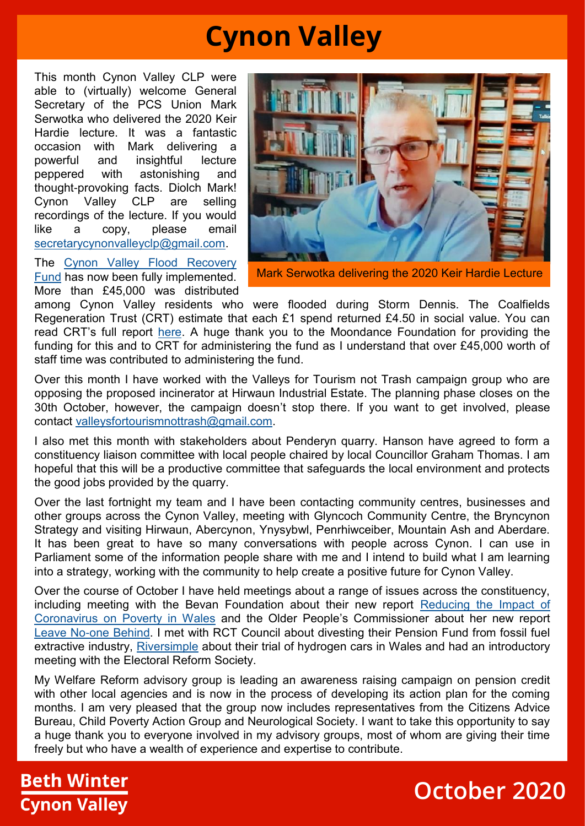## **Cynon Valley**

This month Cynon Valley CLP were able to (virtually) welcome General Secretary of the PCS Union Mark Serwotka who delivered the 2020 Keir Hardie lecture. It was a fantastic occasion with Mark delivering a powerful and insightful lecture peppered with astonishing and thought-provoking facts. Diolch Mark! Cynon Valley CLP are selling recordings of the lecture. If you would like a copy, please email [secretarycynonvalleyclp@gmail.com.](mailto:secretarycynonvalleyclp@gmail.com)

The [Cynon Valley Flood Recovery](https://www.facebook.com/BethWinterMP/photos/a.109147603833295/252619159486138/?type=3)  [Fund](https://www.facebook.com/BethWinterMP/photos/a.109147603833295/252619159486138/?type=3) has now been fully implemented. More than £45,000 was distributed



Mark Serwotka delivering the 2020 Keir Hardie Lecture

among Cynon Valley residents who were flooded during Storm Dennis. The Coalfields Regeneration Trust (CRT) estimate that each £1 spend returned £4.50 in social value. You can read CRT's full report [here.](https://www.coalfields-regen.org.uk/latest_news/it-feels-like-home-again/?fbclid=IwAR3tvHLq3vYTBn7j_5QF7YYDTHPd-dZ-L8EzzOtcG4kDrZ0hQOj5MiemOXs) A huge thank you to the Moondance Foundation for providing the funding for this and to CRT for administering the fund as I understand that over £45,000 worth of staff time was contributed to administering the fund.

Over this month I have worked with the Valleys for Tourism not Trash campaign group who are opposing the proposed incinerator at Hirwaun Industrial Estate. The planning phase closes on the 30th October, however, the campaign doesn't stop there. If you want to get involved, please contact [valleysfortourismnottrash@gmail.com.](mailto:valleysfortourismnottrash@gmail.com) 

I also met this month with stakeholders about Penderyn quarry. Hanson have agreed to form a constituency liaison committee with local people chaired by local Councillor Graham Thomas. I am hopeful that this will be a productive committee that safeguards the local environment and protects the good jobs provided by the quarry.

Over the last fortnight my team and I have been contacting community centres, businesses and other groups across the Cynon Valley, meeting with Glyncoch Community Centre, the Bryncynon Strategy and visiting Hirwaun, Abercynon, Ynysybwl, Penrhiwceiber, Mountain Ash and Aberdare. It has been great to have so many conversations with people across Cynon. I can use in Parliament some of the information people share with me and I intend to build what I am learning into a strategy, working with the community to help create a positive future for Cynon Valley.

Over the course of October I have held meetings about a range of issues across the constituency, including meeting with the Bevan Foundation about their new report Reducing the Impact of [Coronavirus on Poverty in Wales](https://www.bevanfoundation.org/publications/coronavirus-poverty-wales/) and the Older People's Commissioner about her new report [Leave No-one Behind.](https://www.olderpeoplewales.com/en/news/news/20-08-18/Leave_no-one_behind_Action_for_an_age-friendly_recovery.aspx) I met with RCT Council about divesting their Pension Fund from fossil fuel extractive industry, [Riversimple](https://www.riversimple.com/riversimple-rasa-beta-test/) about their trial of hydrogen cars in Wales and had an introductory meeting with the Electoral Reform Society.

My Welfare Reform advisory group is leading an awareness raising campaign on pension credit with other local agencies and is now in the process of developing its action plan for the coming months. I am very pleased that the group now includes representatives from the Citizens Advice Bureau, Child Poverty Action Group and Neurological Society. I want to take this opportunity to say a huge thank you to everyone involved in my advisory groups, most of whom are giving their time freely but who have a wealth of experience and expertise to contribute.

#### **Beth Winter Cynon Valley**

#### **October 2020**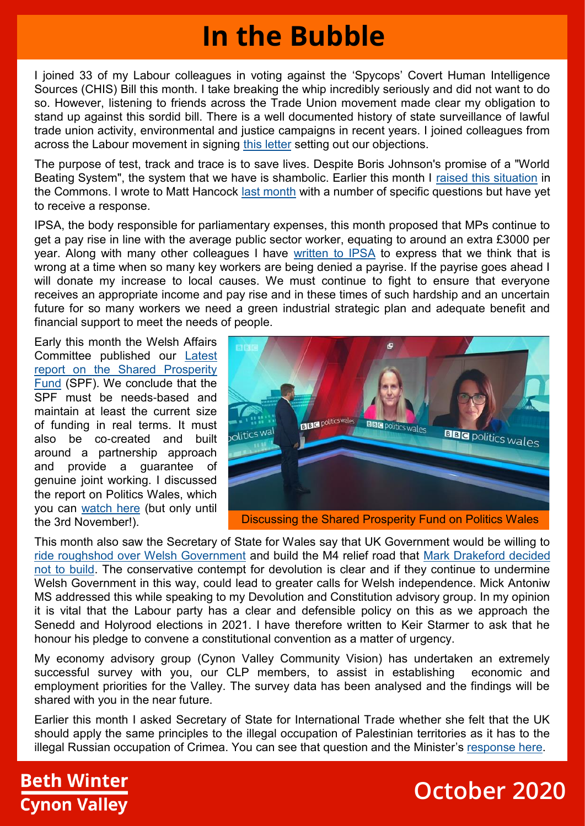## **In the Bubble**

I joined 33 of my Labour colleagues in voting against the 'Spycops' Covert Human Intelligence Sources (CHIS) Bill this month. I take breaking the whip incredibly seriously and did not want to do so. However, listening to friends across the Trade Union movement made clear my obligation to stand up against this sordid bill. There is a well documented history of state surveillance of lawful trade union activity, environmental and justice campaigns in recent years. I joined colleagues from across the Labour movement in signing [this letter](https://labourlist.org/2020/10/joint-statement-by-unions-mps-and-campaigners-on-chis-spycops-bill/?fbclid=IwAR1vdCHeCbT_4LzerUP7DkPVylWBNNgnCHh0sO3xc7xUChGMraAnrnhjU0E) setting out our objections.

The purpose of test, track and trace is to save lives. Despite Boris Johnson's promise of a "World Beating System", the system that we have is shambolic. Earlier this month I [raised this situation](https://www.facebook.com/watch/?v=819547102123652) in the Commons. I wrote to Matt Hancock [last month](https://www.facebook.com/bethwintermp/posts/339309170817136) with a number of specific questions but have yet to receive a response.

IPSA, the body responsible for parliamentary expenses, this month proposed that MPs continue to get a pay rise in line with the average public sector worker, equating to around an extra £3000 per year. Along with many other colleagues I have [written to IPSA](https://www.facebook.com/BethWinterMP/posts/357196949028358) to express that we think that is wrong at a time when so many key workers are being denied a payrise. If the payrise goes ahead I will donate my increase to local causes. We must continue to fight to ensure that everyone receives an appropriate income and pay rise and in these times of such hardship and an uncertain future for so many workers we need a green industrial strategic plan and adequate benefit and financial support to meet the needs of people.

Early this month the Welsh Affairs Committee published our [Latest](https://houseofcommons.shorthandstories.com/shared-prosperity-fund-wales-report/)  [report on the Shared Prosperity](https://houseofcommons.shorthandstories.com/shared-prosperity-fund-wales-report/)  [Fund](https://houseofcommons.shorthandstories.com/shared-prosperity-fund-wales-report/) (SPF). We conclude that the SPF must be needs-based and maintain at least the current size of funding in real terms. It must also be co-created and built around a partnership approach and provide a guarantee of genuine joint working. I discussed the report on Politics Wales, which you can [watch here](http://www.bbc.co.uk/iplayer/episode/m000n9dw/politics-wales-04102020) (but only until the 3rd November!).



Discussing the Shared Prosperity Fund on Politics Wales

This month also saw the Secretary of State for Wales say that UK Government would be willing to [ride roughshod over Welsh Government](https://www.bbc.co.uk/news/uk-wales-politics-54469828) and build the M4 relief road that [Mark Drakeford decided](https://www.walesonline.co.uk/news/wales-news/m4-relief-road-exactly-what-16375949)  [not to build.](https://www.walesonline.co.uk/news/wales-news/m4-relief-road-exactly-what-16375949) The conservative contempt for devolution is clear and if they continue to undermine Welsh Government in this way, could lead to greater calls for Welsh independence. Mick Antoniw MS addressed this while speaking to my Devolution and Constitution advisory group. In my opinion it is vital that the Labour party has a clear and defensible policy on this as we approach the Senedd and Holyrood elections in 2021. I have therefore written to Keir Starmer to ask that he honour his pledge to convene a constitutional convention as a matter of urgency.

My economy advisory group (Cynon Valley Community Vision) has undertaken an extremely successful survey with you, our CLP members, to assist in establishing economic and employment priorities for the Valley. The survey data has been analysed and the findings will be shared with you in the near future.

Earlier this month I asked Secretary of State for International Trade whether she felt that the UK should apply the same principles to the illegal occupation of Palestinian territories as it has to the illegal Russian occupation of Crimea. You can see that question and the Minister's [response here.](https://parliamentlive.tv/event/index/0d08c5bb-04d0-4a34-b1d1-8efba0179f9c?in=10%3A23%3A08&out=10%3A24%3A05) 

#### **Beth Winter Cynon Valley**

### **October 2020**